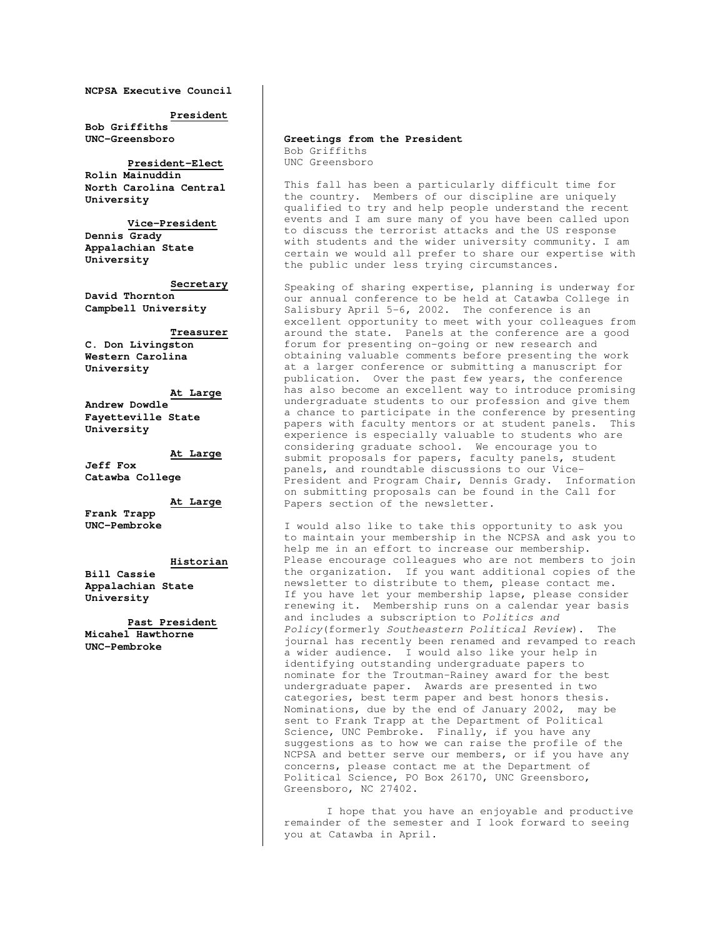**NCPSA Executive Council** 

**President**

**Bob Griffiths UNC-Greensboro** 

 **President-Elect Rolin Mainuddin North Carolina Central University** 

**Vice-President Dennis Grady Appalachian State University** 

**Secretary David Thornton Campbell University** 

 **Treasurer**

**C. Don Livingston Western Carolina University** 

**At Large**

**Andrew Dowdle Fayetteville State University** 

**At Large**

**Jeff Fox Catawba College** 

**At Large**

**Frank Trapp UNC-Pembroke** 

#### **Historian**

**Bill Cassie Appalachian State University** 

**Past President**

**Micahel Hawthorne UNC-Pembroke** 

#### **Greetings from the President** Bob Griffiths UNC Greensboro

This fall has been a particularly difficult time for the country. Members of our discipline are uniquely qualified to try and help people understand the recent events and I am sure many of you have been called upon to discuss the terrorist attacks and the US response with students and the wider university community. I am certain we would all prefer to share our expertise with the public under less trying circumstances.

Speaking of sharing expertise, planning is underway for our annual conference to be held at Catawba College in Salisbury April 5-6, 2002. The conference is an excellent opportunity to meet with your colleagues from around the state. Panels at the conference are a good forum for presenting on-going or new research and obtaining valuable comments before presenting the work at a larger conference or submitting a manuscript for publication. Over the past few years, the conference has also become an excellent way to introduce promising undergraduate students to our profession and give them a chance to participate in the conference by presenting papers with faculty mentors or at student panels. This experience is especially valuable to students who are considering graduate school. We encourage you to submit proposals for papers, faculty panels, student panels, and roundtable discussions to our Vice-President and Program Chair, Dennis Grady. Information on submitting proposals can be found in the Call for Papers section of the newsletter.

I would also like to take this opportunity to ask you to maintain your membership in the NCPSA and ask you to help me in an effort to increase our membership. Please encourage colleagues who are not members to join the organization. If you want additional copies of the newsletter to distribute to them, please contact me. If you have let your membership lapse, please consider renewing it. Membership runs on a calendar year basis and includes a subscription to Politics and Policy(formerly Southeastern Political Review). The journal has recently been renamed and revamped to reach a wider audience. I would also like your help in identifying outstanding undergraduate papers to nominate for the Troutman-Rainey award for the best undergraduate paper. Awards are presented in two categories, best term paper and best honors thesis. Nominations, due by the end of January 2002, may be sent to Frank Trapp at the Department of Political Science, UNC Pembroke. Finally, if you have any suggestions as to how we can raise the profile of the NCPSA and better serve our members, or if you have any concerns, please contact me at the Department of Political Science, PO Box 26170, UNC Greensboro, Greensboro, NC 27402.

I hope that you have an enjoyable and productive remainder of the semester and I look forward to seeing you at Catawba in April.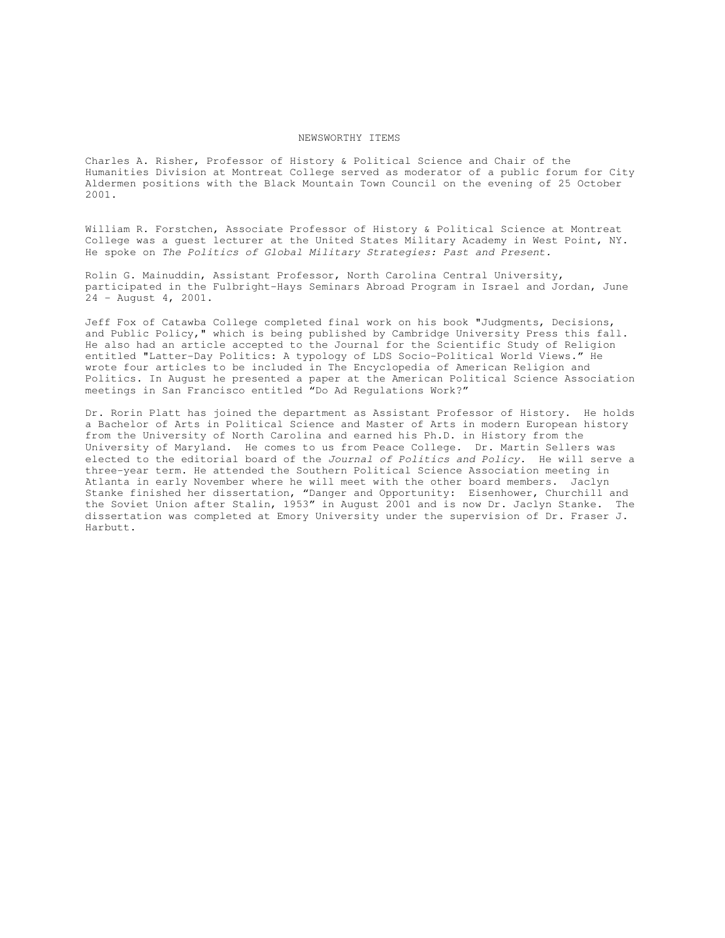#### NEWSWORTHY ITEMS

Charles A. Risher, Professor of History & Political Science and Chair of the Humanities Division at Montreat College served as moderator of a public forum for City Aldermen positions with the Black Mountain Town Council on the evening of 25 October 2001.

William R. Forstchen, Associate Professor of History & Political Science at Montreat College was a guest lecturer at the United States Military Academy in West Point, NY. He spoke on The Politics of Global Military Strategies: Past and Present.

Rolin G. Mainuddin, Assistant Professor, North Carolina Central University, participated in the Fulbright-Hays Seminars Abroad Program in Israel and Jordan, June  $24 -$  August 4, 2001.

Jeff Fox of Catawba College completed final work on his book "Judgments, Decisions, and Public Policy," which is being published by Cambridge University Press this fall. He also had an article accepted to the Journal for the Scientific Study of Religion entitled "Latter-Day Politics: A typology of LDS Socio-Political World Views." He wrote four articles to be included in The Encyclopedia of American Religion and Politics. In August he presented a paper at the American Political Science Association meetings in San Francisco entitled "Do Ad Regulations Work?"

Dr. Rorin Platt has joined the department as Assistant Professor of History. He holds a Bachelor of Arts in Political Science and Master of Arts in modern European history from the University of North Carolina and earned his Ph.D. in History from the University of Maryland. He comes to us from Peace College. Dr. Martin Sellers was elected to the editorial board of the Journal of Politics and Policy. He will serve a three-year term. He attended the Southern Political Science Association meeting in Atlanta in early November where he will meet with the other board members. Jaclyn Stanke finished her dissertation, "Danger and Opportunity: Eisenhower, Churchill and the Soviet Union after Stalin, 1953" in August 2001 and is now Dr. Jaclyn Stanke. The dissertation was completed at Emory University under the supervision of Dr. Fraser J. Harbutt.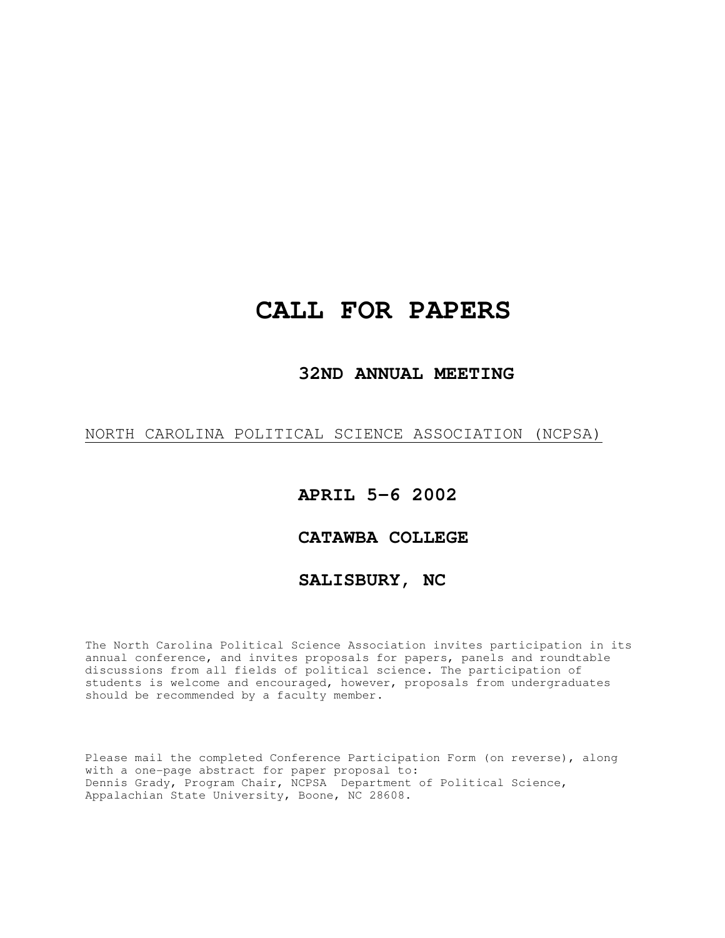# **CALL FOR PAPERS**

#### **32ND ANNUAL MEETING**

#### NORTH CAROLINA POLITICAL SCIENCE ASSOCIATION (NCPSA)

### **APRIL 5-6 2002**

#### **CATAWBA COLLEGE**

#### **SALISBURY, NC**

The North Carolina Political Science Association invites participation in its annual conference, and invites proposals for papers, panels and roundtable discussions from all fields of political science. The participation of students is welcome and encouraged, however, proposals from undergraduates should be recommended by a faculty member.

Please mail the completed Conference Participation Form (on reverse), along with a one-page abstract for paper proposal to: Dennis Grady, Program Chair, NCPSA Department of Political Science, Appalachian State University, Boone, NC 28608.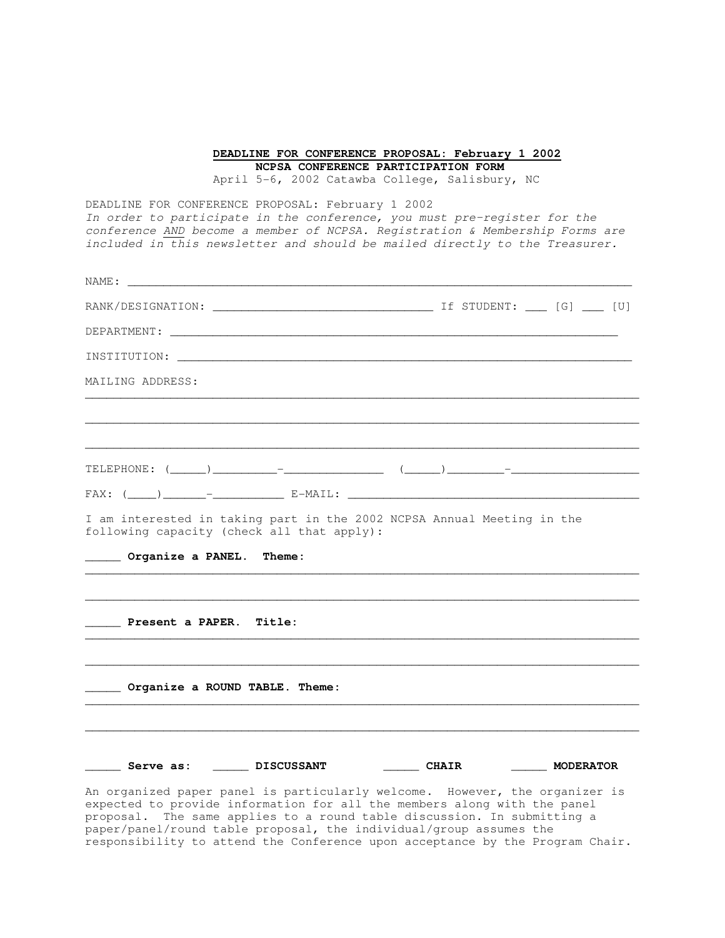**DEADLINE FOR CONFERENCE PROPOSAL: February 1 2002 NCPSA CONFERENCE PARTICIPATION FORM** 

April 5-6, 2002 Catawba College, Salisbury, NC

DEADLINE FOR CONFERENCE PROPOSAL: February 1 2002 In order to participate in the conference, you must pre-register for the conference AND become a member of NCPSA. Registration & Membership Forms are included in this newsletter and should be mailed directly to the Treasurer.

| DEPARTMENT: LEADER AND THE CONTROL CONTROL CONTROL CONTROL CONTROL CONTROL CONTROL CONTROL CONTROL CONTROL CONTROL CONTROL CONTROL CONTROL CONTROL CONTROL CONTROL CONTROL CONTROL CONTROL CONTROL CONTROL CONTROL CONTROL CON |                                                                                  |           |
|--------------------------------------------------------------------------------------------------------------------------------------------------------------------------------------------------------------------------------|----------------------------------------------------------------------------------|-----------|
|                                                                                                                                                                                                                                |                                                                                  |           |
| MAILING ADDRESS:                                                                                                                                                                                                               |                                                                                  |           |
|                                                                                                                                                                                                                                | ,我们也不会有什么。""我们的人,我们也不会有什么?""我们的人,我们也不会有什么?""我们的人,我们也不会有什么?""我们的人,我们也不会有什么?""我们的人 |           |
|                                                                                                                                                                                                                                |                                                                                  |           |
|                                                                                                                                                                                                                                |                                                                                  |           |
|                                                                                                                                                                                                                                |                                                                                  |           |
| I am interested in taking part in the 2002 NCPSA Annual Meeting in the<br>following capacity (check all that apply):                                                                                                           |                                                                                  |           |
| Organize a PANEL.<br><b>Theme:</b>                                                                                                                                                                                             |                                                                                  |           |
|                                                                                                                                                                                                                                |                                                                                  |           |
| Present a PAPER. Title:                                                                                                                                                                                                        |                                                                                  |           |
| Organize a ROUND TABLE. Theme:                                                                                                                                                                                                 |                                                                                  |           |
|                                                                                                                                                                                                                                |                                                                                  |           |
| _______ Serve as: ________ DISCUSSANT _________ CHAIR                                                                                                                                                                          |                                                                                  | MODERATOR |

proposal. The same applies to a round table discussion. In submitting a paper/panel/round table proposal, the individual/group assumes the responsibility to attend the Conference upon acceptance by the Program Chair.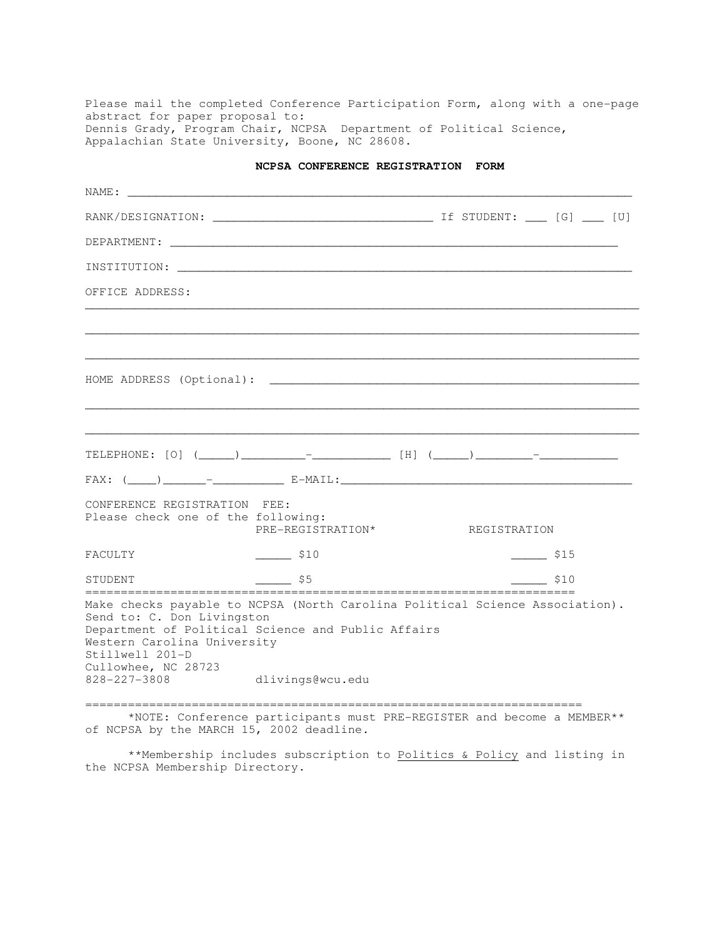Please mail the completed Conference Participation Form, along with a one-page abstract for paper proposal to: Dennis Grady, Program Chair, NCPSA Department of Political Science, Appalachian State University, Boone, NC 28608.

| NCPSA CONFERENCE REGISTRATION FORM |  |  |
|------------------------------------|--|--|
|------------------------------------|--|--|

|                                                                                                                     | INSTITUTION: Laterature and the contract of the contract of the contract of the contract of the contract of the contract of the contract of the contract of the contract of the contract of the contract of the contract of th |              |                    |
|---------------------------------------------------------------------------------------------------------------------|--------------------------------------------------------------------------------------------------------------------------------------------------------------------------------------------------------------------------------|--------------|--------------------|
| OFFICE ADDRESS:                                                                                                     |                                                                                                                                                                                                                                |              |                    |
|                                                                                                                     |                                                                                                                                                                                                                                |              |                    |
|                                                                                                                     |                                                                                                                                                                                                                                |              |                    |
|                                                                                                                     |                                                                                                                                                                                                                                |              |                    |
|                                                                                                                     |                                                                                                                                                                                                                                |              |                    |
| CONFERENCE REGISTRATION FEE:<br>Please check one of the following:                                                  | PRE-REGISTRATION*                                                                                                                                                                                                              | REGISTRATION |                    |
| <b>FACULTY</b>                                                                                                      | $\frac{\text{S10}}{2}$                                                                                                                                                                                                         |              | $\frac{1}{2}$ \$15 |
| STUDENT                                                                                                             | $\mathsf{S}5$                                                                                                                                                                                                                  |              | \$10               |
| Send to: C. Don Livingston<br>Western Carolina University<br>Stillwell 201-D<br>Cullowhee, NC 28723<br>828-227-3808 | Make checks payable to NCPSA (North Carolina Political Science Association).<br>Department of Political Science and Public Affairs<br>dlivings@wcu.edu                                                                         |              |                    |
|                                                                                                                     | *NOTE: Conference participants must PRE-REGISTER and become a MEMBER**<br>of NCPSA by the MARCH 15, 2002 deadline.                                                                                                             |              |                    |

 \*\*Membership includes subscription to Politics & Policy and listing in the NCPSA Membership Directory.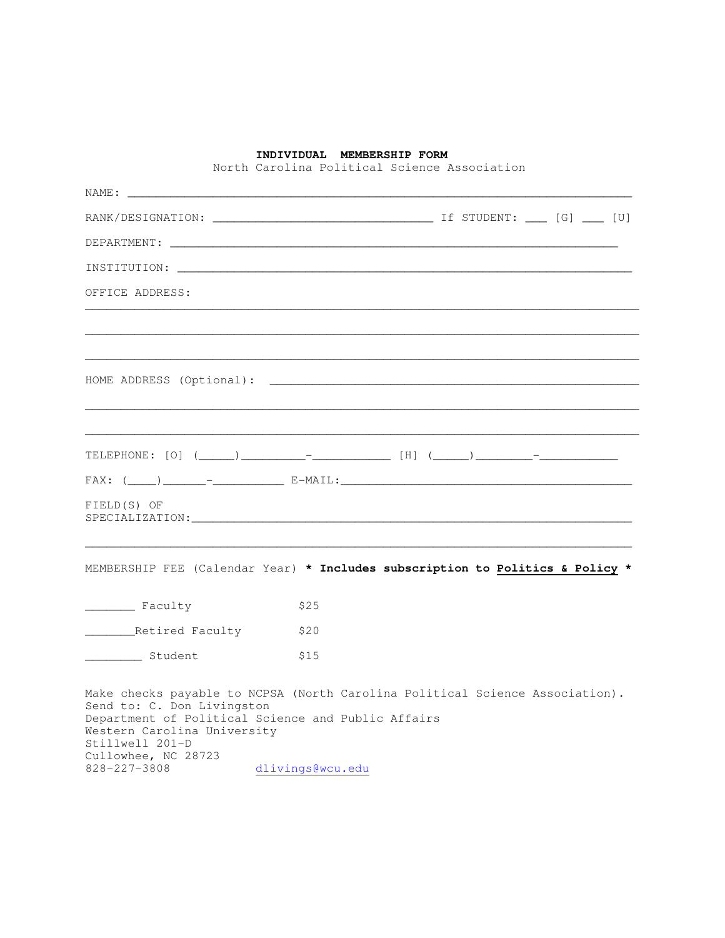#### **INDIVIDUAL MEMBERSHIP FORM**

North Carolina Political Science Association

| RANK/DESIGNATION: UNIVERSITY CONTROLLER PRODUCED THE STUDENT: USING [G] U [U]                                                                                                                                                             |      |  |
|-------------------------------------------------------------------------------------------------------------------------------------------------------------------------------------------------------------------------------------------|------|--|
| DEPARTMENT:                                                                                                                                                                                                                               |      |  |
| INSTITUTION: the contract of the contract of the contract of the contract of the contract of the contract of the contract of the contract of the contract of the contract of the contract of the contract of the contract of t            |      |  |
| OFFICE ADDRESS:                                                                                                                                                                                                                           |      |  |
|                                                                                                                                                                                                                                           |      |  |
|                                                                                                                                                                                                                                           |      |  |
|                                                                                                                                                                                                                                           |      |  |
|                                                                                                                                                                                                                                           |      |  |
| FIELD(S) OF                                                                                                                                                                                                                               |      |  |
| MEMBERSHIP FEE (Calendar Year) * Includes subscription to Politics & Policy *                                                                                                                                                             |      |  |
| Faculty                                                                                                                                                                                                                                   | \$25 |  |
| Retired Faculty                                                                                                                                                                                                                           | \$20 |  |
| Student                                                                                                                                                                                                                                   | \$15 |  |
| Make checks payable to NCPSA (North Carolina Political Science Association).<br>Send to: C. Don Livingston<br>Department of Political Science and Public Affairs<br>Western Carolina University<br>Stillwell 201-D<br>Cullowhee, NC 28723 |      |  |

828-227-3808 dlivings@wcu.edu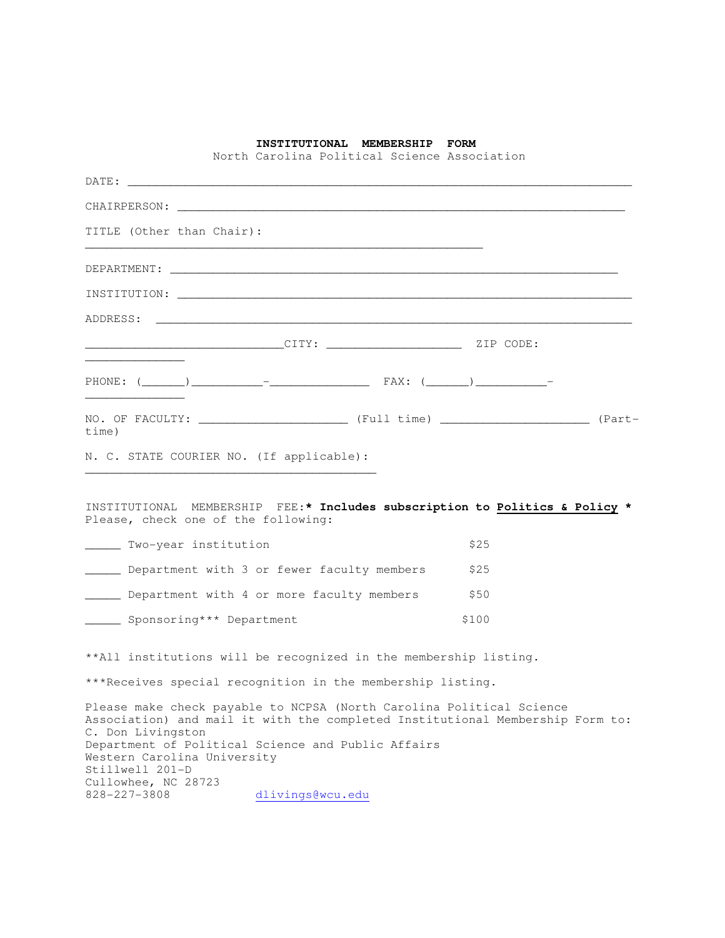|                                                | North Carolina Political Science Association                                                                                                                                                                                   | INSTITUTIONAL MEMBERSHIP FORM |                                                                                                                                                                                                                               |  |
|------------------------------------------------|--------------------------------------------------------------------------------------------------------------------------------------------------------------------------------------------------------------------------------|-------------------------------|-------------------------------------------------------------------------------------------------------------------------------------------------------------------------------------------------------------------------------|--|
|                                                |                                                                                                                                                                                                                                |                               |                                                                                                                                                                                                                               |  |
|                                                |                                                                                                                                                                                                                                |                               |                                                                                                                                                                                                                               |  |
| TITLE (Other than Chair):                      |                                                                                                                                                                                                                                |                               |                                                                                                                                                                                                                               |  |
|                                                |                                                                                                                                                                                                                                |                               | DEPARTMENT: THE SERVICE OF STRIKE SERVICE OF STRIKE SERVICE OF STRIKE SERVICE OF STRIKE SERVICE OF STRIKE SERVICE OF STRIKE SERVICE OF STRIKE SERVICE OF STRIKE SERVICE OF STRIKE SERVICE OF STRIKE SERVICE OF STRIKE SERVICE |  |
|                                                | INSTITUTION: Laterature and the contract of the contract of the contract of the contract of the contract of the contract of the contract of the contract of the contract of the contract of the contract of the contract of th |                               |                                                                                                                                                                                                                               |  |
|                                                |                                                                                                                                                                                                                                |                               |                                                                                                                                                                                                                               |  |
|                                                |                                                                                                                                                                                                                                |                               |                                                                                                                                                                                                                               |  |
|                                                | PHONE: $(\_\_)$ $\_\_$ $\_\_$                                                                                                                                                                                                  |                               |                                                                                                                                                                                                                               |  |
| time)                                          |                                                                                                                                                                                                                                |                               |                                                                                                                                                                                                                               |  |
|                                                | N. C. STATE COURIER NO. (If applicable):                                                                                                                                                                                       |                               |                                                                                                                                                                                                                               |  |
|                                                | Please, check one of the following:                                                                                                                                                                                            |                               | INSTITUTIONAL MEMBERSHIP FEE:* Includes subscription to Politics & Policy *                                                                                                                                                   |  |
| ______ Two-year institution                    |                                                                                                                                                                                                                                |                               | \$25                                                                                                                                                                                                                          |  |
|                                                | Department with 3 or fewer faculty members                                                                                                                                                                                     |                               | \$25                                                                                                                                                                                                                          |  |
|                                                | Department with 4 or more faculty members                                                                                                                                                                                      |                               | \$50                                                                                                                                                                                                                          |  |
| _______ Sponsoring*** Department               |                                                                                                                                                                                                                                |                               | \$100                                                                                                                                                                                                                         |  |
|                                                | **All institutions will be recognized in the membership listing.                                                                                                                                                               |                               |                                                                                                                                                                                                                               |  |
|                                                | ***Receives special recognition in the membership listing.                                                                                                                                                                     |                               |                                                                                                                                                                                                                               |  |
| C. Don Livingston                              | Please make check payable to NCPSA (North Carolina Political Science                                                                                                                                                           |                               | Association) and mail it with the completed Institutional Membership Form to:                                                                                                                                                 |  |
| Western Carolina University<br>Stillwell 201-D | Department of Political Science and Public Affairs                                                                                                                                                                             |                               |                                                                                                                                                                                                                               |  |
| Cullowhee, NC 28723<br>828-227-3808            | dlivings@wcu.edu                                                                                                                                                                                                               |                               |                                                                                                                                                                                                                               |  |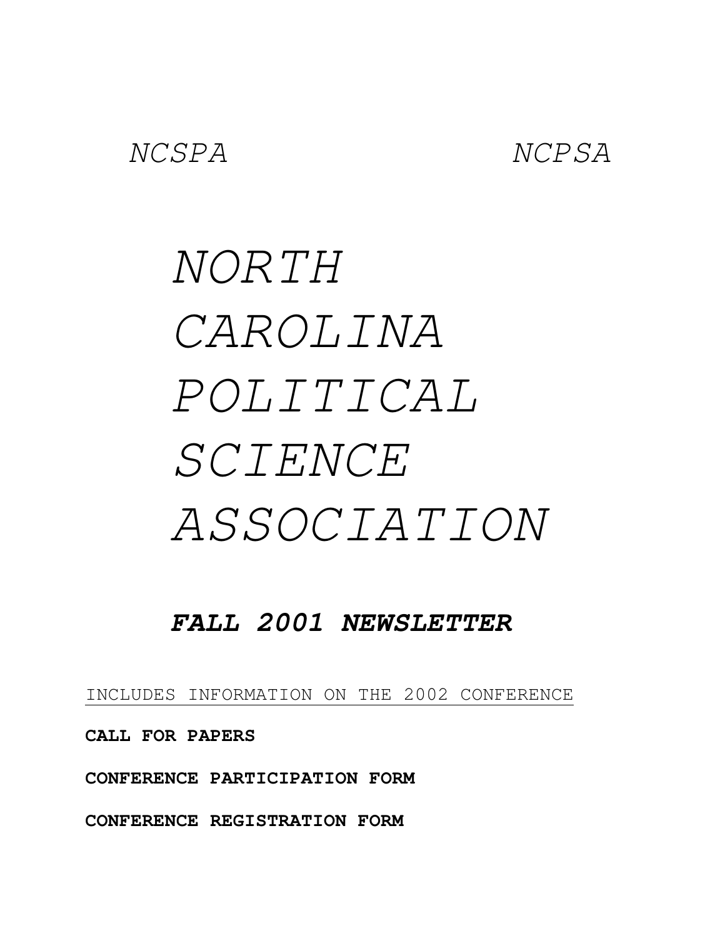# NORTH CAROLINA POLITICAL SCIENCE ASSOCIATION

# **FALL 2001 NEWSLETTER**

INCLUDES INFORMATION ON THE 2002 CONFERENCE

**CALL FOR PAPERS** 

**CONFERENCE PARTICIPATION FORM** 

**CONFERENCE REGISTRATION FORM**